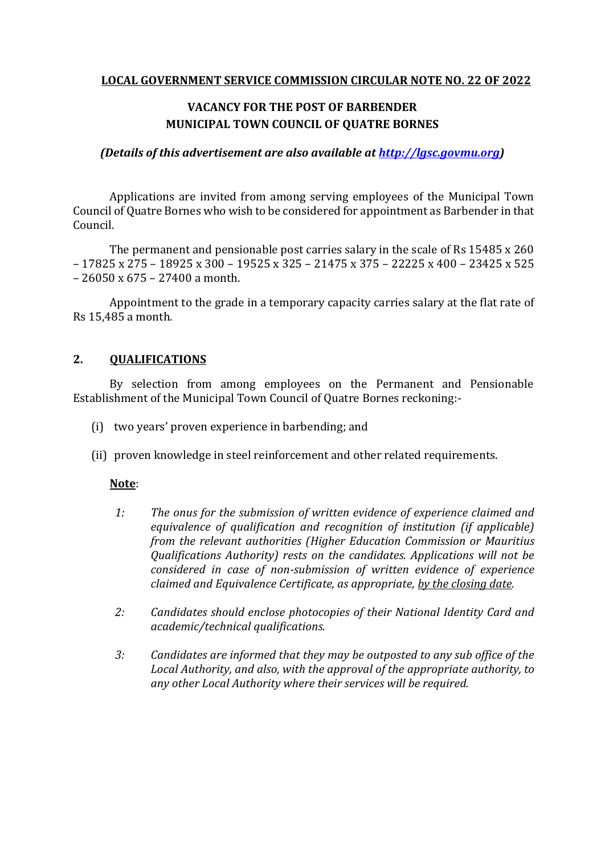## **LOCAL GOVERNMENT SERVICE COMMISSION CIRCULAR NOTE NO. 22 OF 2022**

# **VACANCY FOR THE POST OF BARBENDER MUNICIPAL TOWN COUNCIL OF QUATRE BORNES**

#### *(Details of this advertisement are also available at [http://lgsc.govmu.org\)](http://lgsc.govmu.org/)*

Applications are invited from among serving employees of the Municipal Town Council of Quatre Bornes who wish to be considered for appointment as Barbender in that Council.

The permanent and pensionable post carries salary in the scale of Rs 15485 x 260 – 17825 x 275 – 18925 x 300 – 19525 x 325 – 21475 x 375 – 22225 x 400 – 23425 x 525 – 26050 x 675 – 27400 a month.

Appointment to the grade in a temporary capacity carries salary at the flat rate of Rs 15,485 a month.

## **2. QUALIFICATIONS**

By selection from among employees on the Permanent and Pensionable Establishment of the Municipal Town Council of Quatre Bornes reckoning:-

- (i) two years' proven experience in barbending; and
- (ii) proven knowledge in steel reinforcement and other related requirements.

#### **Note**:

- *1: The onus for the submission of written evidence of experience claimed and equivalence of qualification and recognition of institution (if applicable) from the relevant authorities (Higher Education Commission or Mauritius Qualifications Authority) rests on the candidates. Applications will not be considered in case of non-submission of written evidence of experience claimed and Equivalence Certificate, as appropriate, by the closing date.*
- *2: Candidates should enclose photocopies of their National Identity Card and academic/technical qualifications.*
- *3: Candidates are informed that they may be outposted to any sub office of the Local Authority, and also, with the approval of the appropriate authority, to any other Local Authority where their services will be required.*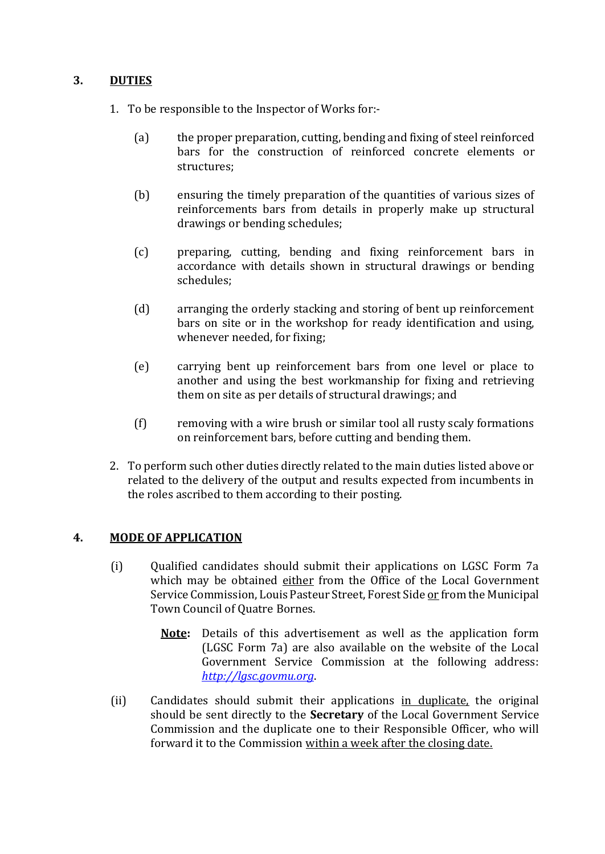## **3. DUTIES**

- 1. To be responsible to the Inspector of Works for:-
	- (a) the proper preparation, cutting, bending and fixing of steel reinforced bars for the construction of reinforced concrete elements or structures;
	- (b) ensuring the timely preparation of the quantities of various sizes of reinforcements bars from details in properly make up structural drawings or bending schedules;
	- (c) preparing, cutting, bending and fixing reinforcement bars in accordance with details shown in structural drawings or bending schedules;
	- (d) arranging the orderly stacking and storing of bent up reinforcement bars on site or in the workshop for ready identification and using, whenever needed, for fixing;
	- (e) carrying bent up reinforcement bars from one level or place to another and using the best workmanship for fixing and retrieving them on site as per details of structural drawings; and
	- (f) removing with a wire brush or similar tool all rusty scaly formations on reinforcement bars, before cutting and bending them.
- 2. To perform such other duties directly related to the main duties listed above or related to the delivery of the output and results expected from incumbents in the roles ascribed to them according to their posting.

## **4. MODE OF APPLICATION**

- (i) Qualified candidates should submit their applications on LGSC Form 7a which may be obtained either from the Office of the Local Government Service Commission, Louis Pasteur Street, Forest Side or from the Municipal Town Council of Quatre Bornes.
	- **Note:** Details of this advertisement as well as the application form (LGSC Form 7a) are also available on the website of the Local Government Service Commission at the following address: *[http://lgsc.govmu.org](http://lgsc.govmu.org/)*.
- (ii) Candidates should submit their applications in duplicate, the original should be sent directly to the **Secretary** of the Local Government Service Commission and the duplicate one to their Responsible Officer, who will forward it to the Commission within a week after the closing date.